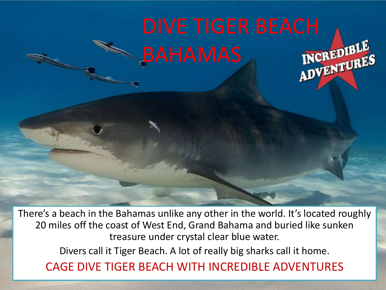# DIVE TIGER BEACH<br>BAHAMAS REALLE BAHAMAS

There's a beach in the Bahamas unlike any other in the world. It's located roughly 20 miles off the coast of West End, Grand Bahama and buried like sunken treasure under crystal clear blue water. Divers call it Tiger Beach. A lot of really big sharks call it home.

CAGE DIVE TIGER BEACH WITH INCREDIBLE ADVENTURES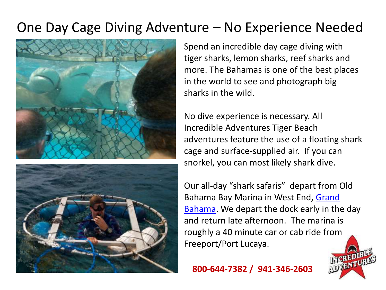# One Day Cage Diving Adventure – No Experience Needed





Spend an incredible day cage diving with tiger sharks, lemon sharks, reef sharks and more. The Bahamas is one of the best places in the world to see and photograph big sharks in the wild.

No dive experience is necessary. All Incredible Adventures Tiger Beach adventures feature the use of a floating shark cage and surface-supplied air. If you can snorkel, you can most likely shark dive.

Our all-day "shark safaris" depart from Old Bahama Bay Marina in West End, [Grand](http://www.bahamas.com/islands/grand-bahama)  [Bahama.](http://www.bahamas.com/islands/grand-bahama) We depart the dock early in the day and return late afternoon. The marina is roughly a 40 minute car or cab ride f[rom](http://www.cagediver.com/bahamas-cage-diving.html)  Freeport/Port Lucaya.

### **800-644-7382 / 941-346-2603**

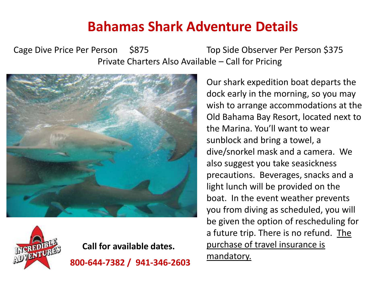### **Bahamas Shark Adventure Details**

Cage Dive Price Per Person \$875 Top Side Observer Per Person \$375 Private Charters Also Available – Call for Pricing





**800-644-7382 / 941-346-2603 Call for available dates.**

Our shark expedition boat departs the dock early in the morning, so you may wish to arrange accommodations at the Old Bahama Bay Resort, located next to the Marina. You'll want to wear sunblock and bring a towel, a dive/snorkel mask and a camera. We also suggest you take seasickness precautions. Beverages, snacks and a light lunch will be provided on the boat. In the event weather prevents you from diving as scheduled, you will be given the option of rescheduling for a future trip. There is no refund. The purchase of travel insurance is mandatory.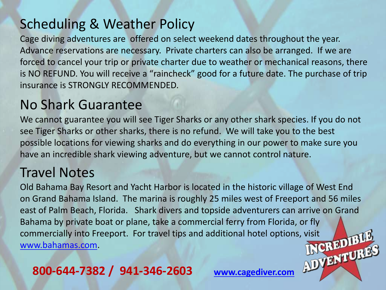### Scheduling & Weather Policy

Cage diving adventures are offered on select weekend dates throughout the year. Advance reservations are necessary. Private charters can also be arranged. If we are forced to cancel your trip or private charter due to weather or mechanical reasons, there is NO REFUND. You will receive a "raincheck" good for a future date. The purchase of trip insurance is STRONGLY RECOMMENDED.

### No Shark Guarantee

We cannot guarantee you will see Tiger Sharks or any other shark species. If you do not see Tiger Sharks or other sharks, there is no refund. We will take you to the best possible locations for viewing sharks and do everything in our power to make sure you have an incredible shark viewing adventure, but we cannot control nature.

### Travel Notes

Old Bahama Bay Resort and Yacht Harbor is located in the historic village of West End on Grand Bahama Island. The marina is roughly 25 miles west of Freeport and 56 miles east of Palm Beach, Florida. Shark divers and topside adventurers can arrive on Grand Bahama by private boat or plane, take a commercial ferry from Florida, [or fly](https://www.incredible-adventures.com/sharks-grand-bahama.html)  commercially into Freeport. For travel tips and additional hotel options, visit<br>www.bahamas.com.<br>800-644-7382 / 044-345[www.bahamas.com.](http://www.bahamas.com/islands/grand-bahama)

**800-644-7382 / 941-346-2603**

**[www.cagediver.com](http://www.cagediver.com/bahamas-cage-diving.html)**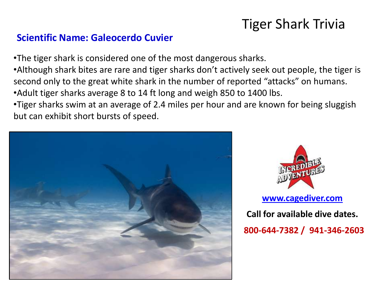## Tiger Shark Trivia

### **Scientific Name: Galeocerdo Cuvier**

•The tiger shark is considered one of the most dangerous sharks.

•Although shark bites are rare and tiger sharks don't actively seek out people, the tiger is second only to the great white shark in the number of reported "attacks" on humans. •Adult tiger sharks average 8 to 14 ft long and weigh 850 to 1400 lbs.

•Tiger sharks swim at an average of 2.4 miles per hour and are known for being sluggish but can exhibit short bursts of speed.





**Call for available dive dates. 800-644-7382 / 941-346-2603**